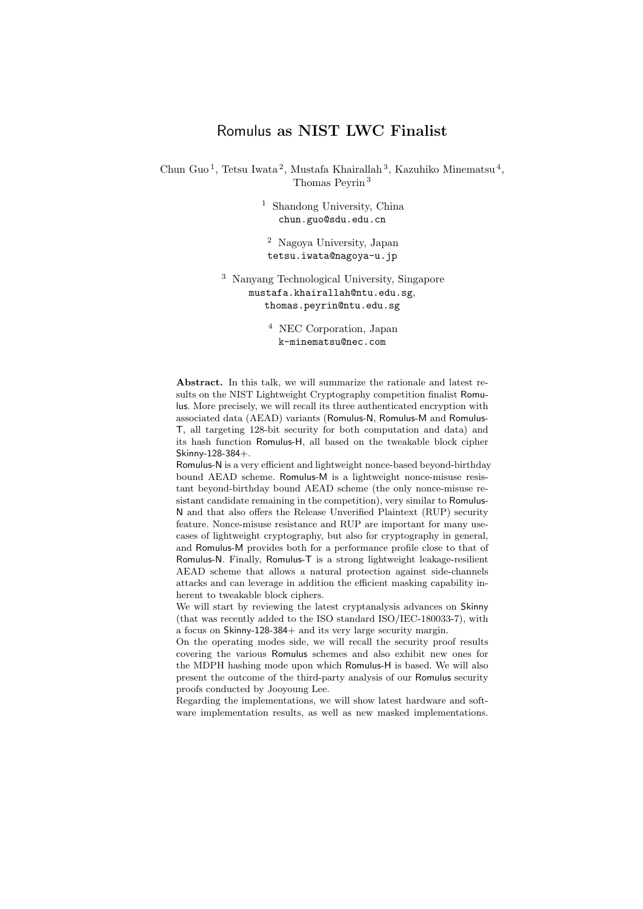## Romulus as NIST LWC Finalist

Chun Guo<sup>1</sup>, Tetsu Iwata<sup>2</sup>, Mustafa Khairallah<sup>3</sup>, Kazuhiko Minematsu<sup>4</sup>, Thomas Peyrin <sup>3</sup>

> <sup>1</sup> Shandong University, China chun.guo@sdu.edu.cn

<sup>2</sup> Nagoya University, Japan tetsu.iwata@nagoya-u.jp

<sup>3</sup> Nanyang Technological University, Singapore mustafa.khairallah@ntu.edu.sg, thomas.peyrin@ntu.edu.sg

> <sup>4</sup> NEC Corporation, Japan k-minematsu@nec.com

Abstract. In this talk, we will summarize the rationale and latest results on the NIST Lightweight Cryptography competition finalist Romulus. More precisely, we will recall its three authenticated encryption with associated data (AEAD) variants (Romulus-N, Romulus-M and Romulus-T, all targeting 128-bit security for both computation and data) and its hash function Romulus-H, all based on the tweakable block cipher Skinny-128-384+.

Romulus-N is a very efficient and lightweight nonce-based beyond-birthday bound AEAD scheme. Romulus-M is a lightweight nonce-misuse resistant beyond-birthday bound AEAD scheme (the only nonce-misuse resistant candidate remaining in the competition), very similar to Romulus-N and that also offers the Release Unverified Plaintext (RUP) security feature. Nonce-misuse resistance and RUP are important for many usecases of lightweight cryptography, but also for cryptography in general, and Romulus-M provides both for a performance profile close to that of Romulus-N. Finally, Romulus-T is a strong lightweight leakage-resilient AEAD scheme that allows a natural protection against side-channels attacks and can leverage in addition the efficient masking capability inherent to tweakable block ciphers.

We will start by reviewing the latest cryptanalysis advances on Skinny (that was recently added to the ISO standard ISO/IEC-180033-7), with a focus on Skinny-128-384+ and its very large security margin.

On the operating modes side, we will recall the security proof results covering the various Romulus schemes and also exhibit new ones for the MDPH hashing mode upon which Romulus-H is based. We will also present the outcome of the third-party analysis of our Romulus security proofs conducted by Jooyoung Lee.

Regarding the implementations, we will show latest hardware and software implementation results, as well as new masked implementations.